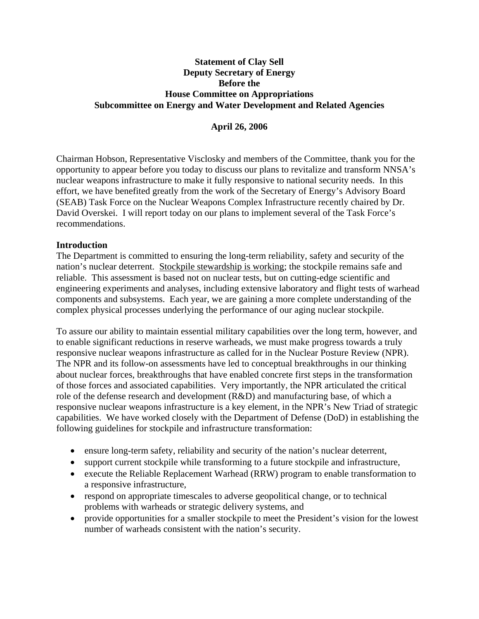# **Statement of Clay Sell Deputy Secretary of Energy Before the House Committee on Appropriations Subcommittee on Energy and Water Development and Related Agencies**

# **April 26, 2006**

Chairman Hobson, Representative Visclosky and members of the Committee, thank you for the opportunity to appear before you today to discuss our plans to revitalize and transform NNSA's nuclear weapons infrastructure to make it fully responsive to national security needs. In this effort, we have benefited greatly from the work of the Secretary of Energy's Advisory Board (SEAB) Task Force on the Nuclear Weapons Complex Infrastructure recently chaired by Dr. David Overskei. I will report today on our plans to implement several of the Task Force's recommendations.

## **Introduction**

The Department is committed to ensuring the long-term reliability, safety and security of the nation's nuclear deterrent. Stockpile stewardship is working; the stockpile remains safe and reliable. This assessment is based not on nuclear tests, but on cutting-edge scientific and engineering experiments and analyses, including extensive laboratory and flight tests of warhead components and subsystems. Each year, we are gaining a more complete understanding of the complex physical processes underlying the performance of our aging nuclear stockpile.

To assure our ability to maintain essential military capabilities over the long term, however, and to enable significant reductions in reserve warheads, we must make progress towards a truly responsive nuclear weapons infrastructure as called for in the Nuclear Posture Review (NPR). The NPR and its follow-on assessments have led to conceptual breakthroughs in our thinking about nuclear forces, breakthroughs that have enabled concrete first steps in the transformation of those forces and associated capabilities. Very importantly, the NPR articulated the critical role of the defense research and development (R&D) and manufacturing base, of which a responsive nuclear weapons infrastructure is a key element, in the NPR's New Triad of strategic capabilities. We have worked closely with the Department of Defense (DoD) in establishing the following guidelines for stockpile and infrastructure transformation:

- ensure long-term safety, reliability and security of the nation's nuclear deterrent,
- support current stockpile while transforming to a future stockpile and infrastructure,
- execute the Reliable Replacement Warhead (RRW) program to enable transformation to a responsive infrastructure,
- respond on appropriate timescales to adverse geopolitical change, or to technical problems with warheads or strategic delivery systems, and
- provide opportunities for a smaller stockpile to meet the President's vision for the lowest number of warheads consistent with the nation's security.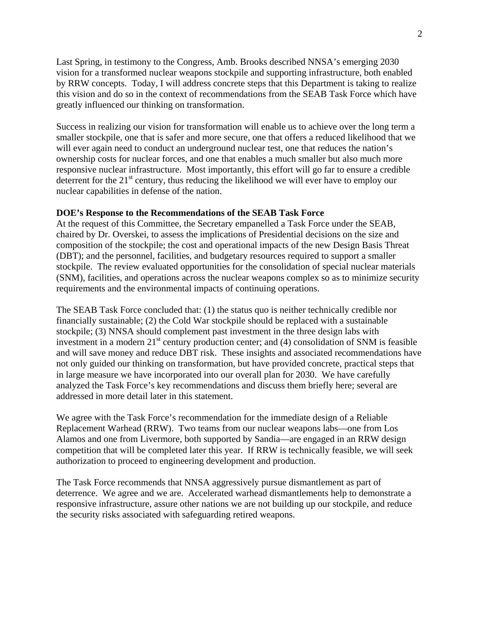Last Spring, in testimony to the Congress, Amb. Brooks described NNSA's emerging 2030 vision for a transformed nuclear weapons stockpile and supporting infrastructure, both enabled by RRW concepts. Today, I will address concrete steps that this Department is taking to realize this vision and do so in the context of recommendations from the SEAB Task Force which have greatly influenced our thinking on transformation.

Success in realizing our vision for transformation will enable us to achieve over the long term a smaller stockpile, one that is safer and more secure, one that offers a reduced likelihood that we will ever again need to conduct an underground nuclear test, one that reduces the nation's ownership costs for nuclear forces, and one that enables a much smaller but also much more responsive nuclear infrastructure. Most importantly, this effort will go far to ensure a credible deterrent for the  $21<sup>st</sup>$  century, thus reducing the likelihood we will ever have to employ our nuclear capabilities in defense of the nation.

### **DOE's Response to the Recommendations of the SEAB Task Force**

At the request of this Committee, the Secretary empanelled a Task Force under the SEAB, chaired by Dr. Overskei, to assess the implications of Presidential decisions on the size and composition of the stockpile; the cost and operational impacts of the new Design Basis Threat (DBT); and the personnel, facilities, and budgetary resources required to support a smaller stockpile. The review evaluated opportunities for the consolidation of special nuclear materials (SNM), facilities, and operations across the nuclear weapons complex so as to minimize security requirements and the environmental impacts of continuing operations.

The SEAB Task Force concluded that: (1) the status quo is neither technically credible nor financially sustainable; (2) the Cold War stockpile should be replaced with a sustainable stockpile; (3) NNSA should complement past investment in the three design labs with investment in a modern  $21<sup>st</sup>$  century production center; and (4) consolidation of SNM is feasible and will save money and reduce DBT risk. These insights and associated recommendations have not only guided our thinking on transformation, but have provided concrete, practical steps that in large measure we have incorporated into our overall plan for 2030. We have carefully analyzed the Task Force's key recommendations and discuss them briefly here; several are addressed in more detail later in this statement.

We agree with the Task Force's recommendation for the immediate design of a Reliable Replacement Warhead (RRW). Two teams from our nuclear weapons labs—one from Los Alamos and one from Livermore, both supported by Sandia—are engaged in an RRW design competition that will be completed later this year. If RRW is technically feasible, we will seek authorization to proceed to engineering development and production.

The Task Force recommends that NNSA aggressively pursue dismantlement as part of deterrence.We agree and we are. Accelerated warhead dismantlements help to demonstrate a responsive infrastructure, assure other nations we are not building up our stockpile, and reduce the security risks associated with safeguarding retired weapons.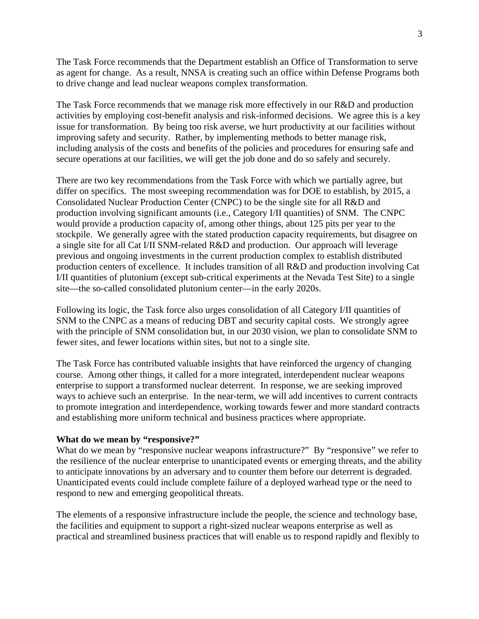The Task Force recommends that the Department establish an Office of Transformation to serve as agent for change. As a result, NNSA is creating such an office within Defense Programs both to drive change and lead nuclear weapons complex transformation.

The Task Force recommends that we manage risk more effectively in our R&D and production activities by employing cost-benefit analysis and risk-informed decisions. We agree this is a key issue for transformation. By being too risk averse, we hurt productivity at our facilities without improving safety and security. Rather, by implementing methods to better manage risk, including analysis of the costs and benefits of the policies and procedures for ensuring safe and secure operations at our facilities, we will get the job done and do so safely and securely.

There are two key recommendations from the Task Force with which we partially agree, but differ on specifics. The most sweeping recommendation was for DOE to establish, by 2015, a Consolidated Nuclear Production Center (CNPC) to be the single site for all R&D and production involving significant amounts (i.e., Category I/II quantities) of SNM. The CNPC would provide a production capacity of, among other things, about 125 pits per year to the stockpile. We generally agree with the stated production capacity requirements, but disagree on a single site for all Cat I/II SNM-related R&D and production. Our approach will leverage previous and ongoing investments in the current production complex to establish distributed production centers of excellence. It includes transition of all R&D and production involving Cat I/II quantities of plutonium (except sub-critical experiments at the Nevada Test Site) to a single site—the so-called consolidated plutonium center—in the early 2020s.

Following its logic, the Task force also urges consolidation of all Category I/II quantities of SNM to the CNPC as a means of reducing DBT and security capital costs. We strongly agree with the principle of SNM consolidation but, in our 2030 vision, we plan to consolidate SNM to fewer sites, and fewer locations within sites, but not to a single site.

The Task Force has contributed valuable insights that have reinforced the urgency of changing course. Among other things, it called for a more integrated, interdependent nuclear weapons enterprise to support a transformed nuclear deterrent. In response, we are seeking improved ways to achieve such an enterprise. In the near-term, we will add incentives to current contracts to promote integration and interdependence, working towards fewer and more standard contracts and establishing more uniform technical and business practices where appropriate.

### **What do we mean by "responsive?"**

What do we mean by "responsive nuclear weapons infrastructure?" By "responsive" we refer to the resilience of the nuclear enterprise to unanticipated events or emerging threats, and the ability to anticipate innovations by an adversary and to counter them before our deterrent is degraded. Unanticipated events could include complete failure of a deployed warhead type or the need to respond to new and emerging geopolitical threats.

The elements of a responsive infrastructure include the people, the science and technology base, the facilities and equipment to support a right-sized nuclear weapons enterprise as well as practical and streamlined business practices that will enable us to respond rapidly and flexibly to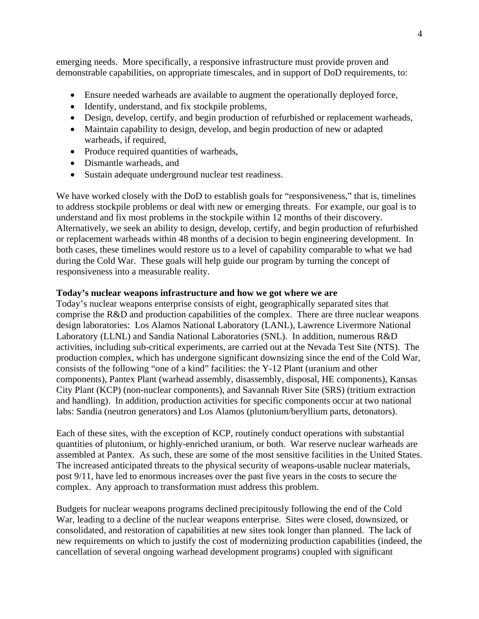emerging needs. More specifically, a responsive infrastructure must provide proven and demonstrable capabilities, on appropriate timescales, and in support of DoD requirements, to:

- Ensure needed warheads are available to augment the operationally deployed force,
- Identify, understand, and fix stockpile problems,
- Design, develop, certify, and begin production of refurbished or replacement warheads,
- Maintain capability to design, develop, and begin production of new or adapted warheads, if required,
- Produce required quantities of warheads,
- Dismantle warheads, and
- Sustain adequate underground nuclear test readiness.

We have worked closely with the DoD to establish goals for "responsiveness," that is, timelines to address stockpile problems or deal with new or emerging threats. For example, our goal is to understand and fix most problems in the stockpile within 12 months of their discovery. Alternatively, we seek an ability to design, develop, certify, and begin production of refurbished or replacement warheads within 48 months of a decision to begin engineering development. In both cases, these timelines would restore us to a level of capability comparable to what we had during the Cold War. These goals will help guide our program by turning the concept of responsiveness into a measurable reality.

## **Today's nuclear weapons infrastructure and how we got where we are**

Today's nuclear weapons enterprise consists of eight, geographically separated sites that comprise the R&D and production capabilities of the complex. There are three nuclear weapons design laboratories: Los Alamos National Laboratory (LANL), Lawrence Livermore National Laboratory (LLNL) and Sandia National Laboratories (SNL). In addition, numerous R&D activities, including sub-critical experiments, are carried out at the Nevada Test Site (NTS). The production complex, which has undergone significant downsizing since the end of the Cold War, consists of the following "one of a kind" facilities: the Y-12 Plant (uranium and other components), Pantex Plant (warhead assembly, disassembly, disposal, HE components), Kansas City Plant (KCP) (non-nuclear components), and Savannah River Site (SRS) (tritium extraction and handling). In addition, production activities for specific components occur at two national labs: Sandia (neutron generators) and Los Alamos (plutonium/beryllium parts, detonators).

Each of these sites, with the exception of KCP, routinely conduct operations with substantial quantities of plutonium, or highly-enriched uranium, or both. War reserve nuclear warheads are assembled at Pantex. As such, these are some of the most sensitive facilities in the United States. The increased anticipated threats to the physical security of weapons-usable nuclear materials, post 9/11, have led to enormous increases over the past five years in the costs to secure the complex. Any approach to transformation must address this problem.

Budgets for nuclear weapons programs declined precipitously following the end of the Cold War, leading to a decline of the nuclear weapons enterprise. Sites were closed, downsized, or consolidated, and restoration of capabilities at new sites took longer than planned. The lack of new requirements on which to justify the cost of modernizing production capabilities (indeed, the cancellation of several ongoing warhead development programs) coupled with significant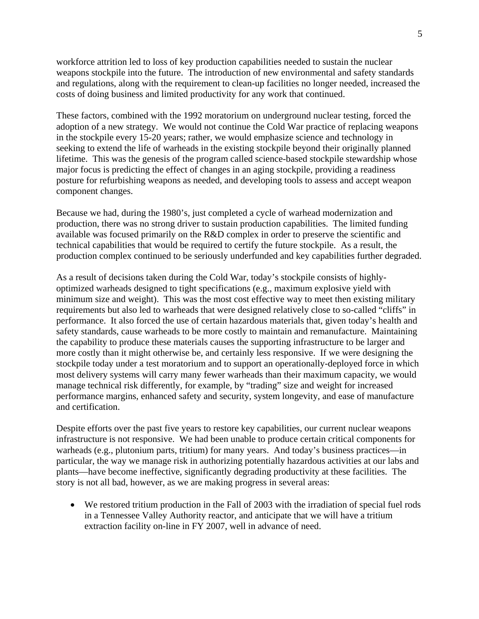workforce attrition led to loss of key production capabilities needed to sustain the nuclear weapons stockpile into the future. The introduction of new environmental and safety standards and regulations, along with the requirement to clean-up facilities no longer needed, increased the costs of doing business and limited productivity for any work that continued.

These factors, combined with the 1992 moratorium on underground nuclear testing, forced the adoption of a new strategy. We would not continue the Cold War practice of replacing weapons in the stockpile every 15-20 years; rather, we would emphasize science and technology in seeking to extend the life of warheads in the existing stockpile beyond their originally planned lifetime. This was the genesis of the program called science-based stockpile stewardship whose major focus is predicting the effect of changes in an aging stockpile, providing a readiness posture for refurbishing weapons as needed, and developing tools to assess and accept weapon component changes.

Because we had, during the 1980's, just completed a cycle of warhead modernization and production, there was no strong driver to sustain production capabilities. The limited funding available was focused primarily on the R&D complex in order to preserve the scientific and technical capabilities that would be required to certify the future stockpile. As a result, the production complex continued to be seriously underfunded and key capabilities further degraded.

As a result of decisions taken during the Cold War, today's stockpile consists of highlyoptimized warheads designed to tight specifications (e.g., maximum explosive yield with minimum size and weight). This was the most cost effective way to meet then existing military requirements but also led to warheads that were designed relatively close to so-called "cliffs" in performance. It also forced the use of certain hazardous materials that, given today's health and safety standards, cause warheads to be more costly to maintain and remanufacture. Maintaining the capability to produce these materials causes the supporting infrastructure to be larger and more costly than it might otherwise be, and certainly less responsive. If we were designing the stockpile today under a test moratorium and to support an operationally-deployed force in which most delivery systems will carry many fewer warheads than their maximum capacity, we would manage technical risk differently, for example, by "trading" size and weight for increased performance margins, enhanced safety and security, system longevity, and ease of manufacture and certification.

Despite efforts over the past five years to restore key capabilities, our current nuclear weapons infrastructure is not responsive. We had been unable to produce certain critical components for warheads (e.g., plutonium parts, tritium) for many years. And today's business practices—in particular, the way we manage risk in authorizing potentially hazardous activities at our labs and plants—have become ineffective, significantly degrading productivity at these facilities. The story is not all bad, however, as we are making progress in several areas:

• We restored tritium production in the Fall of 2003 with the irradiation of special fuel rods in a Tennessee Valley Authority reactor, and anticipate that we will have a tritium extraction facility on-line in FY 2007, well in advance of need.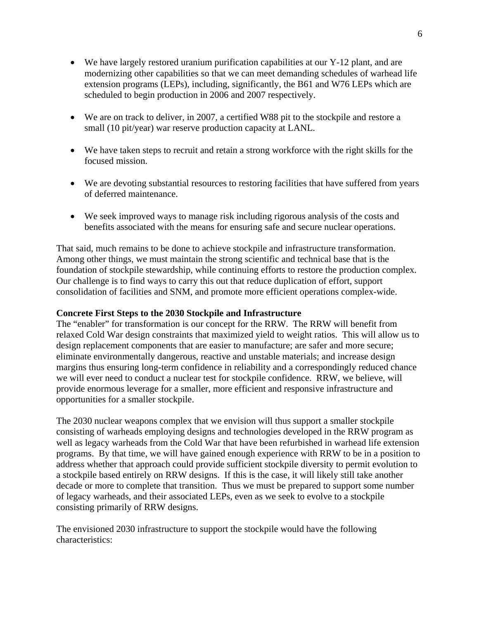- We have largely restored uranium purification capabilities at our Y-12 plant, and are modernizing other capabilities so that we can meet demanding schedules of warhead life extension programs (LEPs), including, significantly, the B61 and W76 LEPs which are scheduled to begin production in 2006 and 2007 respectively.
- We are on track to deliver, in 2007, a certified W88 pit to the stockpile and restore a small (10 pit/year) war reserve production capacity at LANL.
- We have taken steps to recruit and retain a strong workforce with the right skills for the focused mission.
- We are devoting substantial resources to restoring facilities that have suffered from years of deferred maintenance.
- We seek improved ways to manage risk including rigorous analysis of the costs and benefits associated with the means for ensuring safe and secure nuclear operations.

That said, much remains to be done to achieve stockpile and infrastructure transformation. Among other things, we must maintain the strong scientific and technical base that is the foundation of stockpile stewardship, while continuing efforts to restore the production complex. Our challenge is to find ways to carry this out that reduce duplication of effort, support consolidation of facilities and SNM, and promote more efficient operations complex-wide.

## **Concrete First Steps to the 2030 Stockpile and Infrastructure**

The "enabler" for transformation is our concept for the RRW. The RRW will benefit from relaxed Cold War design constraints that maximized yield to weight ratios. This will allow us to design replacement components that are easier to manufacture; are safer and more secure; eliminate environmentally dangerous, reactive and unstable materials; and increase design margins thus ensuring long-term confidence in reliability and a correspondingly reduced chance we will ever need to conduct a nuclear test for stockpile confidence. RRW, we believe, will provide enormous leverage for a smaller, more efficient and responsive infrastructure and opportunities for a smaller stockpile.

The 2030 nuclear weapons complex that we envision will thus support a smaller stockpile consisting of warheads employing designs and technologies developed in the RRW program as well as legacy warheads from the Cold War that have been refurbished in warhead life extension programs. By that time, we will have gained enough experience with RRW to be in a position to address whether that approach could provide sufficient stockpile diversity to permit evolution to a stockpile based entirely on RRW designs. If this is the case, it will likely still take another decade or more to complete that transition. Thus we must be prepared to support some number of legacy warheads, and their associated LEPs, even as we seek to evolve to a stockpile consisting primarily of RRW designs.

The envisioned 2030 infrastructure to support the stockpile would have the following characteristics: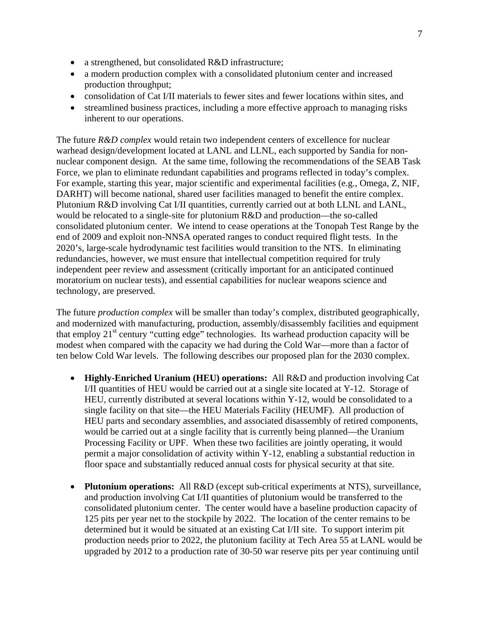- a strengthened, but consolidated R&D infrastructure;
- a modern production complex with a consolidated plutonium center and increased production throughput;
- consolidation of Cat I/II materials to fewer sites and fewer locations within sites, and
- streamlined business practices, including a more effective approach to managing risks inherent to our operations.

The future *R&D complex* would retain two independent centers of excellence for nuclear warhead design/development located at LANL and LLNL, each supported by Sandia for nonnuclear component design. At the same time, following the recommendations of the SEAB Task Force, we plan to eliminate redundant capabilities and programs reflected in today's complex. For example, starting this year, major scientific and experimental facilities (e.g., Omega, Z, NIF, DARHT) will become national, shared user facilities managed to benefit the entire complex. Plutonium R&D involving Cat I/II quantities, currently carried out at both LLNL and LANL, would be relocated to a single-site for plutonium R&D and production—the so-called consolidated plutonium center. We intend to cease operations at the Tonopah Test Range by the end of 2009 and exploit non-NNSA operated ranges to conduct required flight tests. In the 2020's, large-scale hydrodynamic test facilities would transition to the NTS. In eliminating redundancies, however, we must ensure that intellectual competition required for truly independent peer review and assessment (critically important for an anticipated continued moratorium on nuclear tests), and essential capabilities for nuclear weapons science and technology, are preserved.

The future *production complex* will be smaller than today's complex, distributed geographically, and modernized with manufacturing, production, assembly/disassembly facilities and equipment that employ  $21<sup>st</sup>$  century "cutting edge" technologies. Its warhead production capacity will be modest when compared with the capacity we had during the Cold War—more than a factor of ten below Cold War levels. The following describes our proposed plan for the 2030 complex.

- **Highly-Enriched Uranium (HEU) operations:** All R&D and production involving Cat I/II quantities of HEU would be carried out at a single site located at Y-12. Storage of HEU, currently distributed at several locations within Y-12, would be consolidated to a single facility on that site—the HEU Materials Facility (HEUMF). All production of HEU parts and secondary assemblies, and associated disassembly of retired components, would be carried out at a single facility that is currently being planned—the Uranium Processing Facility or UPF. When these two facilities are jointly operating, it would permit a major consolidation of activity within Y-12, enabling a substantial reduction in floor space and substantially reduced annual costs for physical security at that site.
- **Plutonium operations:** All R&D (except sub-critical experiments at NTS), surveillance, and production involving Cat I/II quantities of plutonium would be transferred to the consolidated plutonium center. The center would have a baseline production capacity of 125 pits per year net to the stockpile by 2022. The location of the center remains to be determined but it would be situated at an existing Cat I/II site. To support interim pit production needs prior to 2022, the plutonium facility at Tech Area 55 at LANL would be upgraded by 2012 to a production rate of 30-50 war reserve pits per year continuing until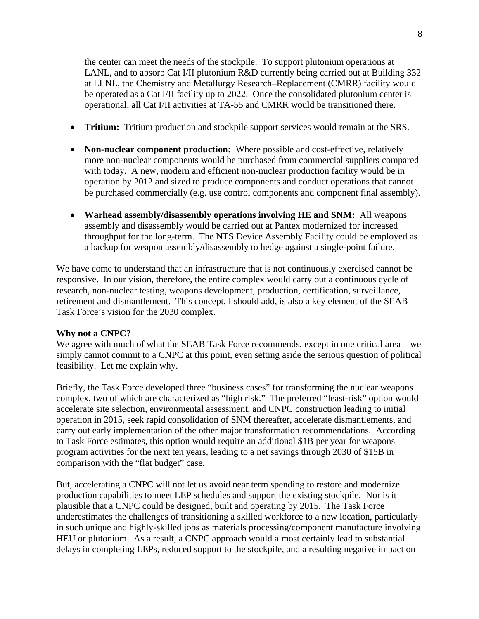the center can meet the needs of the stockpile. To support plutonium operations at LANL, and to absorb Cat I/II plutonium R&D currently being carried out at Building 332 at LLNL, the Chemistry and Metallurgy Research–Replacement (CMRR) facility would be operated as a Cat I/II facility up to 2022. Once the consolidated plutonium center is operational, all Cat I/II activities at TA-55 and CMRR would be transitioned there.

- **Tritium:** Tritium production and stockpile support services would remain at the SRS.
- **Non-nuclear component production:** Where possible and cost-effective, relatively more non-nuclear components would be purchased from commercial suppliers compared with today. A new, modern and efficient non-nuclear production facility would be in operation by 2012 and sized to produce components and conduct operations that cannot be purchased commercially (e.g. use control components and component final assembly).
- **Warhead assembly/disassembly operations involving HE and SNM:** All weapons assembly and disassembly would be carried out at Pantex modernized for increased throughput for the long-term. The NTS Device Assembly Facility could be employed as a backup for weapon assembly/disassembly to hedge against a single-point failure.

We have come to understand that an infrastructure that is not continuously exercised cannot be responsive. In our vision, therefore, the entire complex would carry out a continuous cycle of research, non-nuclear testing, weapons development, production, certification, surveillance, retirement and dismantlement. This concept, I should add, is also a key element of the SEAB Task Force's vision for the 2030 complex.

### **Why not a CNPC?**

We agree with much of what the SEAB Task Force recommends, except in one critical area—we simply cannot commit to a CNPC at this point, even setting aside the serious question of political feasibility. Let me explain why.

Briefly, the Task Force developed three "business cases" for transforming the nuclear weapons complex, two of which are characterized as "high risk." The preferred "least-risk" option would accelerate site selection, environmental assessment, and CNPC construction leading to initial operation in 2015, seek rapid consolidation of SNM thereafter, accelerate dismantlements, and carry out early implementation of the other major transformation recommendations. According to Task Force estimates, this option would require an additional \$1B per year for weapons program activities for the next ten years, leading to a net savings through 2030 of \$15B in comparison with the "flat budget" case.

But, accelerating a CNPC will not let us avoid near term spending to restore and modernize production capabilities to meet LEP schedules and support the existing stockpile. Nor is it plausible that a CNPC could be designed, built and operating by 2015. The Task Force underestimates the challenges of transitioning a skilled workforce to a new location, particularly in such unique and highly-skilled jobs as materials processing/component manufacture involving HEU or plutonium. As a result, a CNPC approach would almost certainly lead to substantial delays in completing LEPs, reduced support to the stockpile, and a resulting negative impact on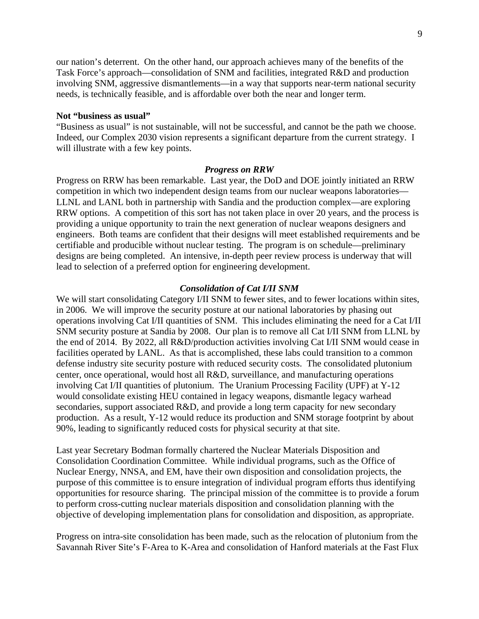our nation's deterrent. On the other hand, our approach achieves many of the benefits of the Task Force's approach—consolidation of SNM and facilities, integrated R&D and production involving SNM, aggressive dismantlements—in a way that supports near-term national security needs, is technically feasible, and is affordable over both the near and longer term.

### **Not "business as usual"**

"Business as usual" is not sustainable, will not be successful, and cannot be the path we choose. Indeed, our Complex 2030 vision represents a significant departure from the current strategy. I will illustrate with a few key points.

#### *Progress on RRW*

Progress on RRW has been remarkable. Last year, the DoD and DOE jointly initiated an RRW competition in which two independent design teams from our nuclear weapons laboratories— LLNL and LANL both in partnership with Sandia and the production complex—are exploring RRW options. A competition of this sort has not taken place in over 20 years, and the process is providing a unique opportunity to train the next generation of nuclear weapons designers and engineers. Both teams are confident that their designs will meet established requirements and be certifiable and producible without nuclear testing. The program is on schedule—preliminary designs are being completed. An intensive, in-depth peer review process is underway that will lead to selection of a preferred option for engineering development.

#### *Consolidation of Cat I/II SNM*

We will start consolidating Category I/II SNM to fewer sites, and to fewer locations within sites, in 2006. We will improve the security posture at our national laboratories by phasing out operations involving Cat I/II quantities of SNM. This includes eliminating the need for a Cat I/II SNM security posture at Sandia by 2008. Our plan is to remove all Cat I/II SNM from LLNL by the end of 2014. By 2022, all R&D/production activities involving Cat I/II SNM would cease in facilities operated by LANL. As that is accomplished, these labs could transition to a common defense industry site security posture with reduced security costs. The consolidated plutonium center, once operational, would host all R&D, surveillance, and manufacturing operations involving Cat I/II quantities of plutonium. The Uranium Processing Facility (UPF) at Y-12 would consolidate existing HEU contained in legacy weapons, dismantle legacy warhead secondaries, support associated R&D, and provide a long term capacity for new secondary production. As a result, Y-12 would reduce its production and SNM storage footprint by about 90%, leading to significantly reduced costs for physical security at that site.

Last year Secretary Bodman formally chartered the Nuclear Materials Disposition and Consolidation Coordination Committee. While individual programs, such as the Office of Nuclear Energy, NNSA, and EM, have their own disposition and consolidation projects, the purpose of this committee is to ensure integration of individual program efforts thus identifying opportunities for resource sharing. The principal mission of the committee is to provide a forum to perform cross-cutting nuclear materials disposition and consolidation planning with the objective of developing implementation plans for consolidation and disposition, as appropriate.

Progress on intra-site consolidation has been made, such as the relocation of plutonium from the Savannah River Site's F-Area to K-Area and consolidation of Hanford materials at the Fast Flux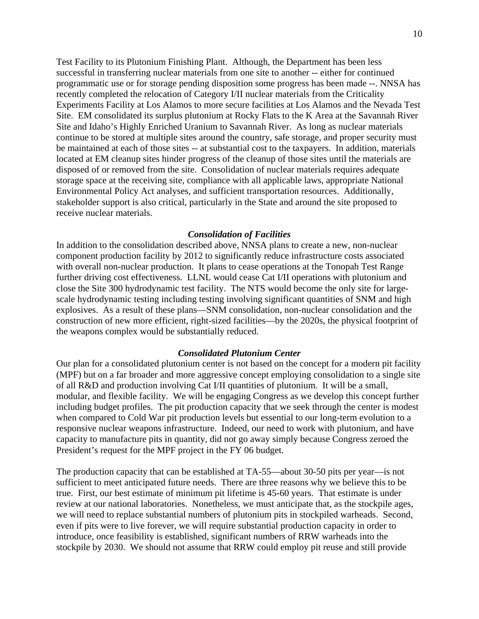Test Facility to its Plutonium Finishing Plant. Although, the Department has been less successful in transferring nuclear materials from one site to another -- either for continued programmatic use or for storage pending disposition some progress has been made --. NNSA has recently completed the relocation of Category I/II nuclear materials from the Criticality Experiments Facility at Los Alamos to more secure facilities at Los Alamos and the Nevada Test Site. EM consolidated its surplus plutonium at Rocky Flats to the K Area at the Savannah River Site and Idaho's Highly Enriched Uranium to Savannah River. As long as nuclear materials continue to be stored at multiple sites around the country, safe storage, and proper security must be maintained at each of those sites -- at substantial cost to the taxpayers. In addition, materials located at EM cleanup sites hinder progress of the cleanup of those sites until the materials are disposed of or removed from the site. Consolidation of nuclear materials requires adequate storage space at the receiving site, compliance with all applicable laws, appropriate National Environmental Policy Act analyses, and sufficient transportation resources. Additionally, stakeholder support is also critical, particularly in the State and around the site proposed to receive nuclear materials.

#### *Consolidation of Facilities*

In addition to the consolidation described above, NNSA plans to create a new, non-nuclear component production facility by 2012 to significantly reduce infrastructure costs associated with overall non-nuclear production. It plans to cease operations at the Tonopah Test Range further driving cost effectiveness. LLNL would cease Cat I/II operations with plutonium and close the Site 300 hydrodynamic test facility. The NTS would become the only site for largescale hydrodynamic testing including testing involving significant quantities of SNM and high explosives. As a result of these plans—SNM consolidation, non-nuclear consolidation and the construction of new more efficient, right-sized facilities—by the 2020s, the physical footprint of the weapons complex would be substantially reduced.

#### *Consolidated Plutonium Center*

Our plan for a consolidated plutonium center is not based on the concept for a modern pit facility (MPF) but on a far broader and more aggressive concept employing consolidation to a single site of all R&D and production involving Cat I/II quantities of plutonium. It will be a small, modular, and flexible facility. We will be engaging Congress as we develop this concept further including budget profiles. The pit production capacity that we seek through the center is modest when compared to Cold War pit production levels but essential to our long-term evolution to a responsive nuclear weapons infrastructure. Indeed, our need to work with plutonium, and have capacity to manufacture pits in quantity, did not go away simply because Congress zeroed the President's request for the MPF project in the FY 06 budget.

The production capacity that can be established at TA-55—about 30-50 pits per year—is not sufficient to meet anticipated future needs. There are three reasons why we believe this to be true. First, our best estimate of minimum pit lifetime is 45-60 years. That estimate is under review at our national laboratories. Nonetheless, we must anticipate that, as the stockpile ages, we will need to replace substantial numbers of plutonium pits in stockpiled warheads. Second, even if pits were to live forever, we will require substantial production capacity in order to introduce, once feasibility is established, significant numbers of RRW warheads into the stockpile by 2030. We should not assume that RRW could employ pit reuse and still provide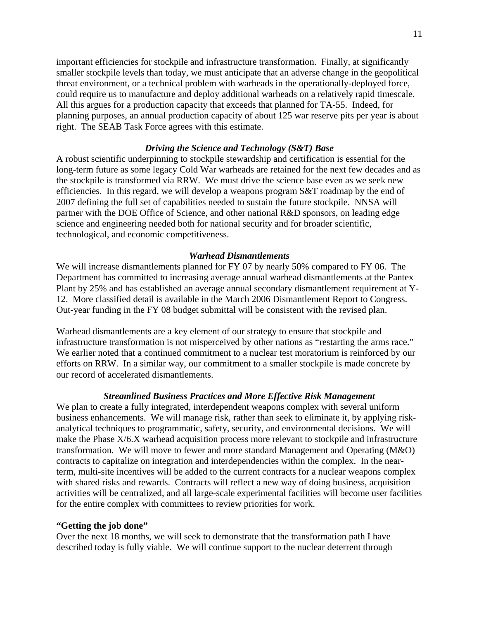important efficiencies for stockpile and infrastructure transformation. Finally, at significantly smaller stockpile levels than today, we must anticipate that an adverse change in the geopolitical threat environment, or a technical problem with warheads in the operationally-deployed force, could require us to manufacture and deploy additional warheads on a relatively rapid timescale. All this argues for a production capacity that exceeds that planned for TA-55. Indeed, for planning purposes, an annual production capacity of about 125 war reserve pits per year is about right. The SEAB Task Force agrees with this estimate.

### *Driving the Science and Technology (S&T) Base*

A robust scientific underpinning to stockpile stewardship and certification is essential for the long-term future as some legacy Cold War warheads are retained for the next few decades and as the stockpile is transformed via RRW. We must drive the science base even as we seek new efficiencies. In this regard, we will develop a weapons program S&T roadmap by the end of 2007 defining the full set of capabilities needed to sustain the future stockpile. NNSA will partner with the DOE Office of Science, and other national R&D sponsors, on leading edge science and engineering needed both for national security and for broader scientific, technological, and economic competitiveness.

## *Warhead Dismantlements*

We will increase dismantlements planned for FY 07 by nearly 50% compared to FY 06. The Department has committed to increasing average annual warhead dismantlements at the Pantex Plant by 25% and has established an average annual secondary dismantlement requirement at Y-12. More classified detail is available in the March 2006 Dismantlement Report to Congress. Out-year funding in the FY 08 budget submittal will be consistent with the revised plan.

Warhead dismantlements are a key element of our strategy to ensure that stockpile and infrastructure transformation is not misperceived by other nations as "restarting the arms race." We earlier noted that a continued commitment to a nuclear test moratorium is reinforced by our efforts on RRW. In a similar way, our commitment to a smaller stockpile is made concrete by our record of accelerated dismantlements.

## *Streamlined Business Practices and More Effective Risk Management*

We plan to create a fully integrated, interdependent weapons complex with several uniform business enhancements. We will manage risk, rather than seek to eliminate it, by applying riskanalytical techniques to programmatic, safety, security, and environmental decisions. We will make the Phase X/6.X warhead acquisition process more relevant to stockpile and infrastructure transformation. We will move to fewer and more standard Management and Operating (M&O) contracts to capitalize on integration and interdependencies within the complex. In the nearterm, multi-site incentives will be added to the current contracts for a nuclear weapons complex with shared risks and rewards. Contracts will reflect a new way of doing business, acquisition activities will be centralized, and all large-scale experimental facilities will become user facilities for the entire complex with committees to review priorities for work.

### **"Getting the job done"**

Over the next 18 months, we will seek to demonstrate that the transformation path I have described today is fully viable. We will continue support to the nuclear deterrent through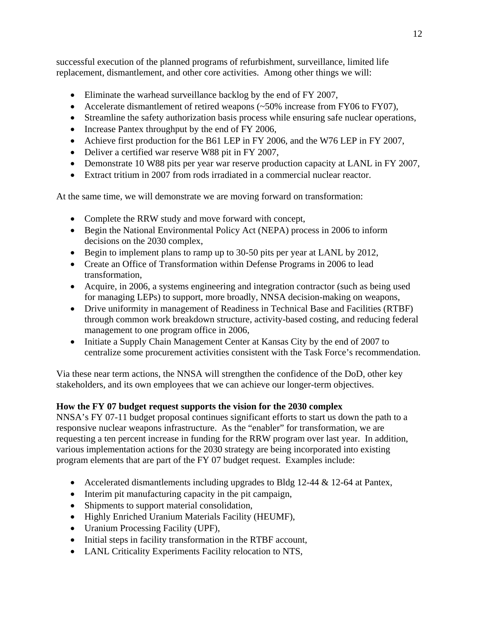successful execution of the planned programs of refurbishment, surveillance, limited life replacement, dismantlement, and other core activities. Among other things we will:

- Eliminate the warhead surveillance backlog by the end of FY 2007,
- Accelerate dismantlement of retired weapons (~50% increase from FY06 to FY07),
- Streamline the safety authorization basis process while ensuring safe nuclear operations,
- Increase Pantex throughput by the end of FY 2006,
- Achieve first production for the B61 LEP in FY 2006, and the W76 LEP in FY 2007,
- Deliver a certified war reserve W88 pit in FY 2007,
- Demonstrate 10 W88 pits per year war reserve production capacity at LANL in FY 2007,
- Extract tritium in 2007 from rods irradiated in a commercial nuclear reactor.

At the same time, we will demonstrate we are moving forward on transformation:

- Complete the RRW study and move forward with concept,
- Begin the National Environmental Policy Act (NEPA) process in 2006 to inform decisions on the 2030 complex,
- Begin to implement plans to ramp up to 30-50 pits per year at LANL by 2012,
- Create an Office of Transformation within Defense Programs in 2006 to lead transformation,
- Acquire, in 2006, a systems engineering and integration contractor (such as being used for managing LEPs) to support, more broadly, NNSA decision-making on weapons,
- Drive uniformity in management of Readiness in Technical Base and Facilities (RTBF) through common work breakdown structure, activity-based costing, and reducing federal management to one program office in 2006,
- Initiate a Supply Chain Management Center at Kansas City by the end of 2007 to centralize some procurement activities consistent with the Task Force's recommendation.

Via these near term actions, the NNSA will strengthen the confidence of the DoD, other key stakeholders, and its own employees that we can achieve our longer-term objectives.

# **How the FY 07 budget request supports the vision for the 2030 complex**

NNSA's FY 07-11 budget proposal continues significant efforts to start us down the path to a responsive nuclear weapons infrastructure. As the "enabler" for transformation, we are requesting a ten percent increase in funding for the RRW program over last year. In addition, various implementation actions for the 2030 strategy are being incorporated into existing program elements that are part of the FY 07 budget request. Examples include:

- Accelerated dismantlements including upgrades to Bldg  $12-44 \& 12-64$  at Pantex,
- Interim pit manufacturing capacity in the pit campaign,
- Shipments to support material consolidation,
- Highly Enriched Uranium Materials Facility (HEUMF),
- Uranium Processing Facility (UPF),
- Initial steps in facility transformation in the RTBF account,
- LANL Criticality Experiments Facility relocation to NTS,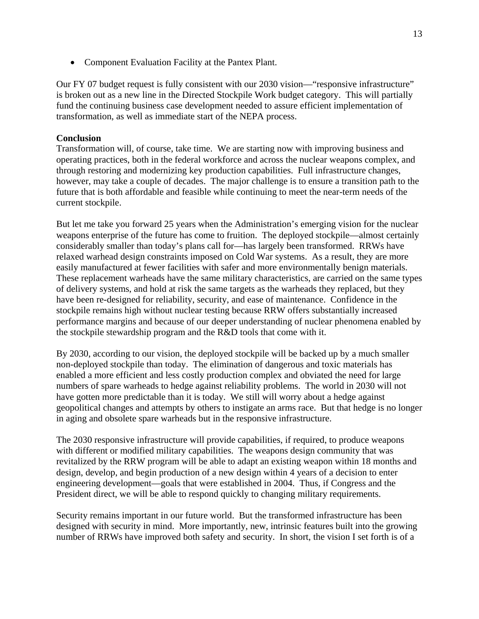• Component Evaluation Facility at the Pantex Plant.

Our FY 07 budget request is fully consistent with our 2030 vision—"responsive infrastructure" is broken out as a new line in the Directed Stockpile Work budget category. This will partially fund the continuing business case development needed to assure efficient implementation of transformation, as well as immediate start of the NEPA process.

## **Conclusion**

Transformation will, of course, take time. We are starting now with improving business and operating practices, both in the federal workforce and across the nuclear weapons complex, and through restoring and modernizing key production capabilities. Full infrastructure changes, however, may take a couple of decades. The major challenge is to ensure a transition path to the future that is both affordable and feasible while continuing to meet the near-term needs of the current stockpile.

But let me take you forward 25 years when the Administration's emerging vision for the nuclear weapons enterprise of the future has come to fruition. The deployed stockpile—almost certainly considerably smaller than today's plans call for—has largely been transformed. RRWs have relaxed warhead design constraints imposed on Cold War systems. As a result, they are more easily manufactured at fewer facilities with safer and more environmentally benign materials. These replacement warheads have the same military characteristics, are carried on the same types of delivery systems, and hold at risk the same targets as the warheads they replaced, but they have been re-designed for reliability, security, and ease of maintenance. Confidence in the stockpile remains high without nuclear testing because RRW offers substantially increased performance margins and because of our deeper understanding of nuclear phenomena enabled by the stockpile stewardship program and the R&D tools that come with it.

By 2030, according to our vision, the deployed stockpile will be backed up by a much smaller non-deployed stockpile than today. The elimination of dangerous and toxic materials has enabled a more efficient and less costly production complex and obviated the need for large numbers of spare warheads to hedge against reliability problems. The world in 2030 will not have gotten more predictable than it is today. We still will worry about a hedge against geopolitical changes and attempts by others to instigate an arms race. But that hedge is no longer in aging and obsolete spare warheads but in the responsive infrastructure.

The 2030 responsive infrastructure will provide capabilities, if required, to produce weapons with different or modified military capabilities. The weapons design community that was revitalized by the RRW program will be able to adapt an existing weapon within 18 months and design, develop, and begin production of a new design within 4 years of a decision to enter engineering development—goals that were established in 2004. Thus, if Congress and the President direct, we will be able to respond quickly to changing military requirements.

Security remains important in our future world. But the transformed infrastructure has been designed with security in mind. More importantly, new, intrinsic features built into the growing number of RRWs have improved both safety and security. In short, the vision I set forth is of a